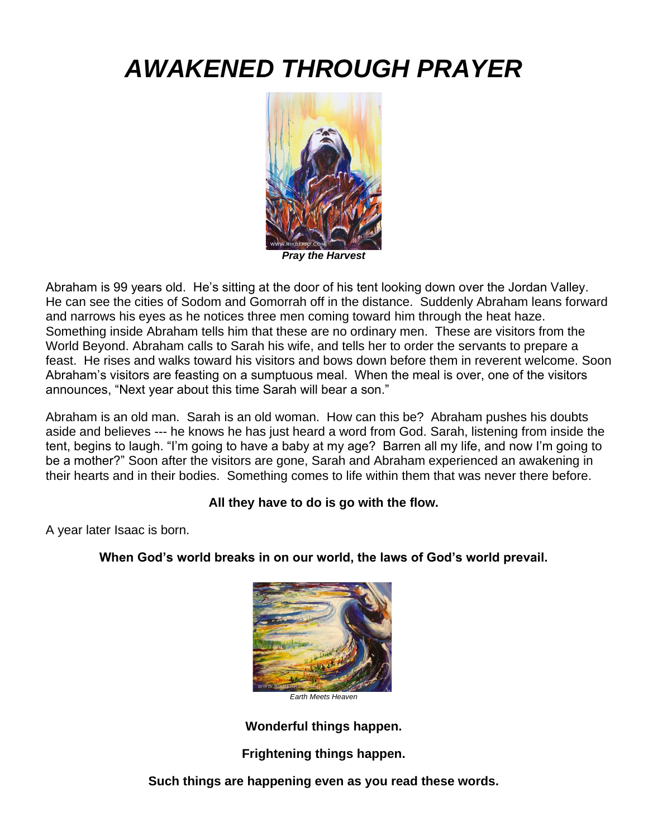# *AWAKENED THROUGH PRAYER*



*Pray the Harvest*

Abraham is 99 years old. He's sitting at the door of his tent looking down over the Jordan Valley. He can see the cities of Sodom and Gomorrah off in the distance. Suddenly Abraham leans forward and narrows his eyes as he notices three men coming toward him through the heat haze. Something inside Abraham tells him that these are no ordinary men. These are visitors from the World Beyond. Abraham calls to Sarah his wife, and tells her to order the servants to prepare a feast. He rises and walks toward his visitors and bows down before them in reverent welcome. Soon Abraham's visitors are feasting on a sumptuous meal. When the meal is over, one of the visitors announces, "Next year about this time Sarah will bear a son."

Abraham is an old man. Sarah is an old woman. How can this be? Abraham pushes his doubts aside and believes --- he knows he has just heard a word from God. Sarah, listening from inside the tent, begins to laugh. "I'm going to have a baby at my age? Barren all my life, and now I'm going to be a mother?" Soon after the visitors are gone, Sarah and Abraham experienced an awakening in their hearts and in their bodies. Something comes to life within them that was never there before.

### **All they have to do is go with the flow.**

A year later Isaac is born.

### **When God's world breaks in on our world, the laws of God's world prevail.**



**Wonderful things happen.** 

**Frightening things happen.**

**Such things are happening even as you read these words.**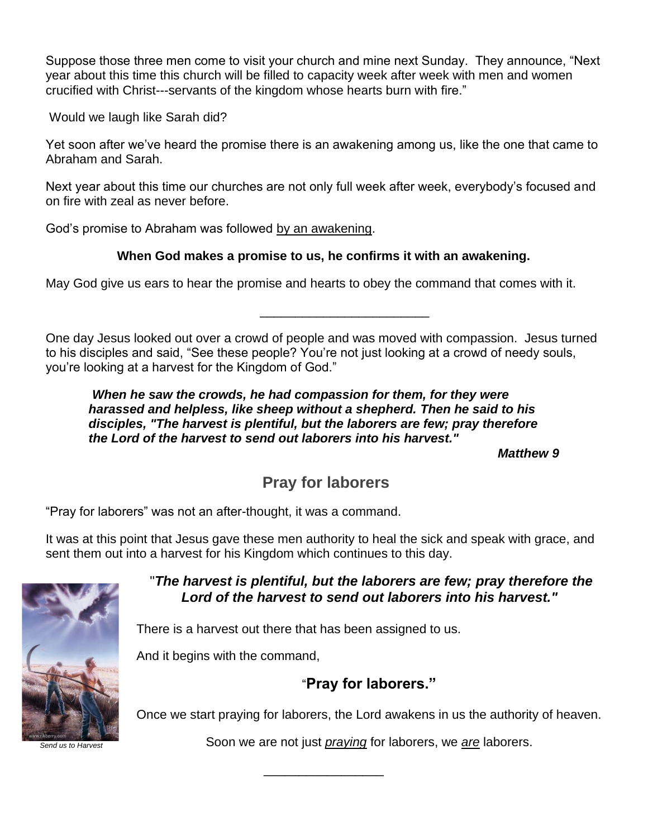Suppose those three men come to visit your church and mine next Sunday. They announce, "Next year about this time this church will be filled to capacity week after week with men and women crucified with Christ---servants of the kingdom whose hearts burn with fire."

Would we laugh like Sarah did?

Yet soon after we've heard the promise there is an awakening among us, like the one that came to Abraham and Sarah.

Next year about this time our churches are not only full week after week, everybody's focused and on fire with zeal as never before.

God's promise to Abraham was followed by an awakening.

### **When God makes a promise to us, he confirms it with an awakening.**

May God give us ears to hear the promise and hearts to obey the command that comes with it.

One day Jesus looked out over a crowd of people and was moved with compassion. Jesus turned to his disciples and said, "See these people? You're not just looking at a crowd of needy souls, you're looking at a harvest for the Kingdom of God."

\_\_\_\_\_\_\_\_\_\_\_\_\_\_\_\_\_\_\_\_\_\_\_\_

*When he saw the crowds, he had compassion for them, for they were harassed and helpless, like sheep without a shepherd. Then he said to his disciples, "The harvest is plentiful, but the laborers are few; pray therefore the Lord of the harvest to send out laborers into his harvest."*

*Matthew 9*

## **Pray for laborers**

"Pray for laborers" was not an after-thought, it was a command.

It was at this point that Jesus gave these men authority to heal the sick and speak with grace, and sent them out into a harvest for his Kingdom which continues to this day.

\_\_\_\_\_\_\_\_\_\_\_\_\_\_\_\_\_



"*The harvest is plentiful, but the laborers are few; pray therefore the Lord of the harvest to send out laborers into his harvest."*

There is a harvest out there that has been assigned to us.

And it begins with the command,

### "**Pray for laborers."**

Once we start praying for laborers, the Lord awakens in us the authority of heaven.

Soon we are not just *praying* for laborers, we *are* laborers.

*Send us to Harvest*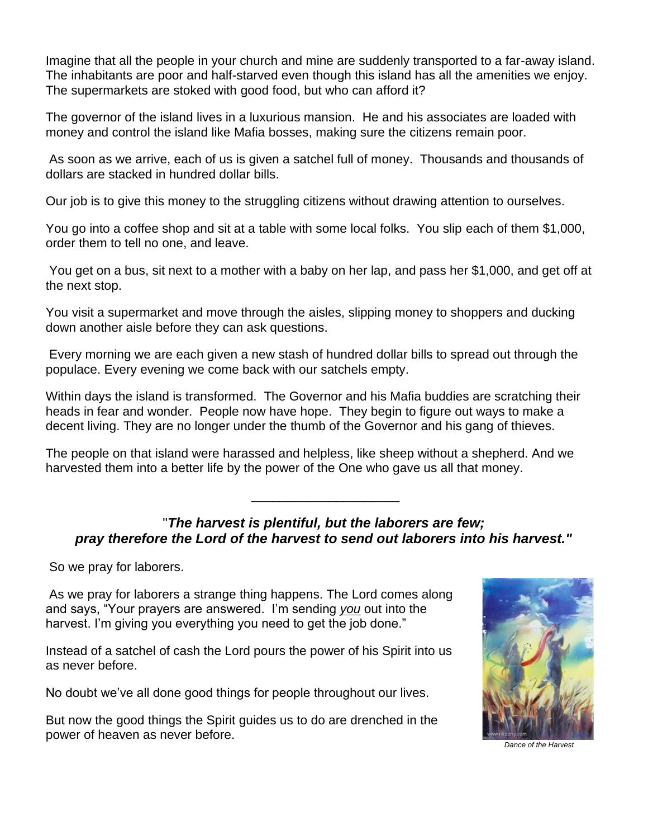Imagine that all the people in your church and mine are suddenly transported to a far-away island. The inhabitants are poor and half-starved even though this island has all the amenities we enjoy. The supermarkets are stoked with good food, but who can afford it?

The governor of the island lives in a luxurious mansion. He and his associates are loaded with money and control the island like Mafia bosses, making sure the citizens remain poor.

As soon as we arrive, each of us is given a satchel full of money. Thousands and thousands of dollars are stacked in hundred dollar bills.

Our job is to give this money to the struggling citizens without drawing attention to ourselves.

You go into a coffee shop and sit at a table with some local folks. You slip each of them \$1,000, order them to tell no one, and leave.

You get on a bus, sit next to a mother with a baby on her lap, and pass her \$1,000, and get off at the next stop.

You visit a supermarket and move through the aisles, slipping money to shoppers and ducking down another aisle before they can ask questions.

Every morning we are each given a new stash of hundred dollar bills to spread out through the populace. Every evening we come back with our satchels empty.

Within days the island is transformed. The Governor and his Mafia buddies are scratching their heads in fear and wonder. People now have hope. They begin to figure out ways to make a decent living. They are no longer under the thumb of the Governor and his gang of thieves.

The people on that island were harassed and helpless, like sheep without a shepherd. And we harvested them into a better life by the power of the One who gave us all that money.

### "*The harvest is plentiful, but the laborers are few; pray therefore the Lord of the harvest to send out laborers into his harvest."*

\_\_\_\_\_\_\_\_\_\_\_\_\_\_\_\_\_\_\_\_\_

So we pray for laborers.

As we pray for laborers a strange thing happens. The Lord comes along and says, "Your prayers are answered. I'm sending *you* out into the harvest. I'm giving you everything you need to get the job done."

Instead of a satchel of cash the Lord pours the power of his Spirit into us as never before.

No doubt we've all done good things for people throughout our lives.

But now the good things the Spirit guides us to do are drenched in the power of heaven as never before.



*Dance of the Harvest*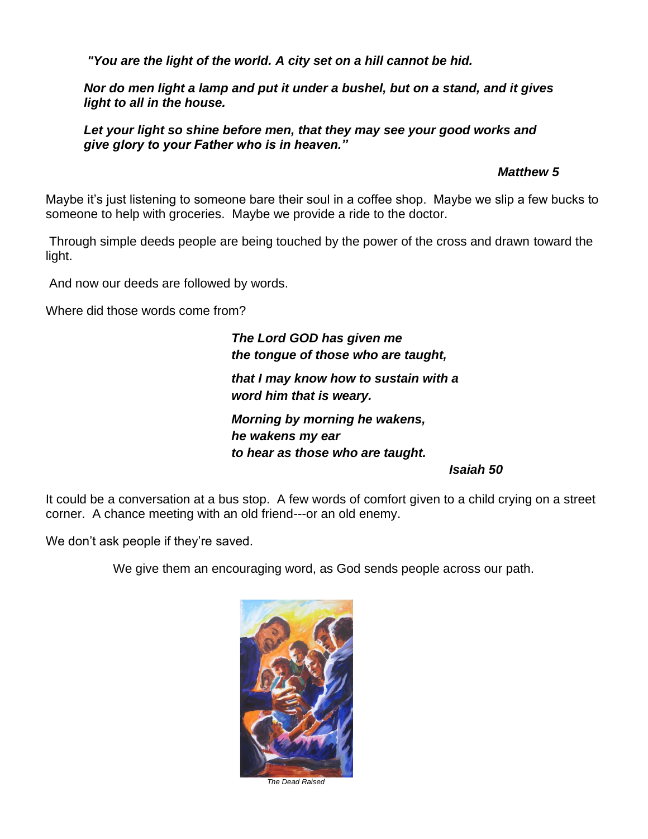*"You are the light of the world. A city set on a hill cannot be hid.*

*Nor do men light a lamp and put it under a bushel, but on a stand, and it gives light to all in the house.*

Let your light so shine before men, that they may see your good works and *give glory to your Father who is in heaven."*

 *Matthew 5*

Maybe it's just listening to someone bare their soul in a coffee shop. Maybe we slip a few bucks to someone to help with groceries. Maybe we provide a ride to the doctor.

Through simple deeds people are being touched by the power of the cross and drawn toward the light.

And now our deeds are followed by words.

Where did those words come from?

*The Lord GOD has given me the tongue of those who are taught, that I may know how to sustain with a word him that is weary.*

*Morning by morning he wakens, he wakens my ear to hear as those who are taught.*

*Isaiah 50* 

It could be a conversation at a bus stop. A few words of comfort given to a child crying on a street corner. A chance meeting with an old friend---or an old enemy.

We don't ask people if they're saved.

We give them an encouraging word, as God sends people across our path.



*The Dead Raised*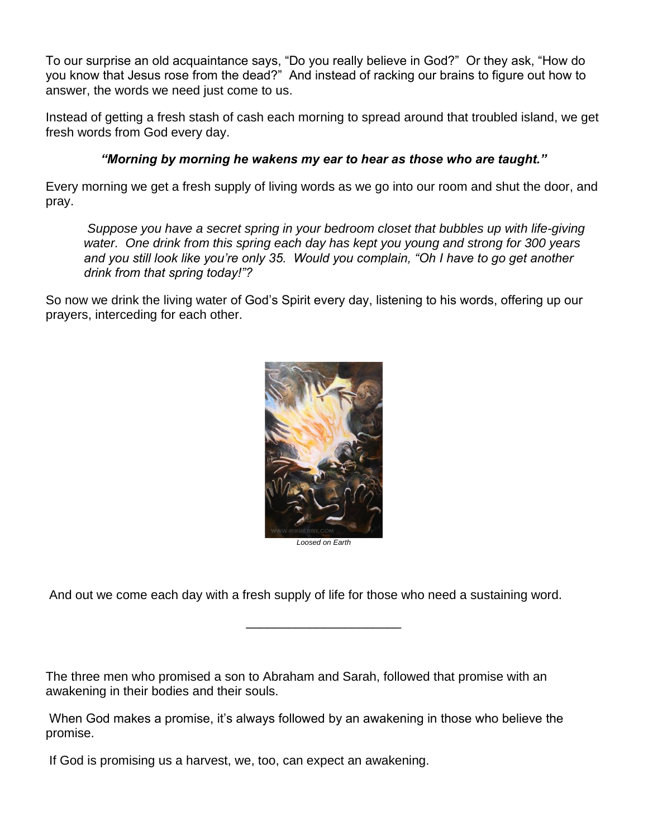To our surprise an old acquaintance says, "Do you really believe in God?" Or they ask, "How do you know that Jesus rose from the dead?" And instead of racking our brains to figure out how to answer, the words we need just come to us.

Instead of getting a fresh stash of cash each morning to spread around that troubled island, we get fresh words from God every day.

### *"Morning by morning he wakens my ear to hear as those who are taught."*

Every morning we get a fresh supply of living words as we go into our room and shut the door, and pray.

*Suppose you have a secret spring in your bedroom closet that bubbles up with life-giving water. One drink from this spring each day has kept you young and strong for 300 years and you still look like you're only 35. Would you complain, "Oh I have to go get another drink from that spring today!"?*

So now we drink the living water of God's Spirit every day, listening to his words, offering up our prayers, interceding for each other.



*Loosed on Earth*

\_\_\_\_\_\_\_\_\_\_\_\_\_\_\_\_\_\_\_\_\_\_

And out we come each day with a fresh supply of life for those who need a sustaining word.

The three men who promised a son to Abraham and Sarah, followed that promise with an awakening in their bodies and their souls.

When God makes a promise, it's always followed by an awakening in those who believe the promise.

If God is promising us a harvest, we, too, can expect an awakening.